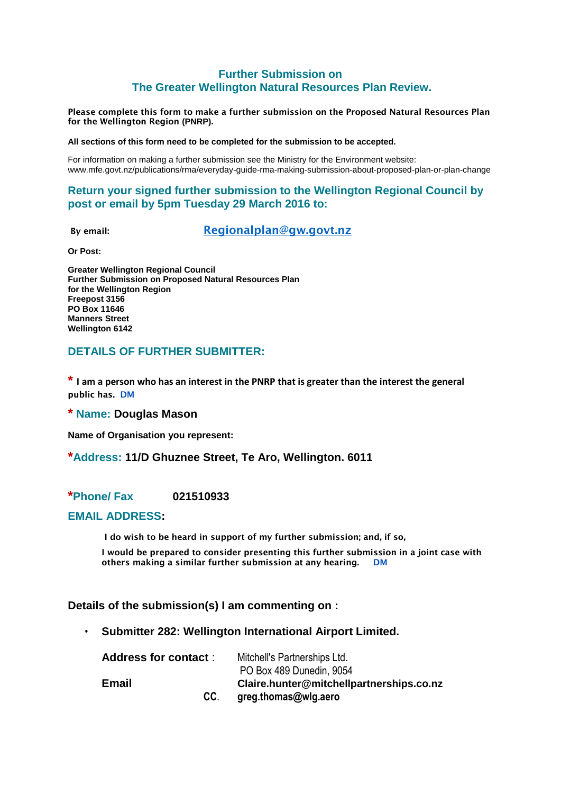## **Further Submission on The Greater Wellington Natural Resources Plan Review.**

**Please complete this form to make a further submission on the Proposed Natural Resources Plan for the Wellington Region (PNRP).**

**All sections of this form need to be completed for the submission to be accepted.**

For information on making a further submission see the Ministry for the Environment website: www.mfe.govt.nz/publications/rma/everyday-guide-rma-making-submission-about-proposed-plan-or-plan-change

## **Return your signed further submission to the Wellington Regional Council by post or email by 5pm Tuesday 29 March 2016 to:**

**By email: [Regionalplan@gw.govt.nz](mailto:Regionalplan@gw.govt.nz)**

**Or Post:**

**Greater Wellington Regional Council Further Submission on Proposed Natural Resources Plan for the Wellington Region Freepost 3156 PO Box 11646 Manners Street Wellington 6142**

## **DETAILS OF FURTHER SUBMITTER:**

**\* I am a person who has an interest in the PNRP that is greater than the interest the general public has. DM**

**\* Name: Douglas Mason**

**Name of Organisation you represent:**

#### **\*Address: 11/D Ghuznee Street, Te Aro, Wellington. 6011**

## **\*Phone/ Fax 021510933**

#### **EMAIL ADDRESS:**

 **I do wish to be heard in support of my further submission; and, if so,**

 **I would be prepared to consider presenting this further submission in a joint case with others making a similar further submission at any hearing. DM**

#### **Details of the submission(s) I am commenting on :**

• **Submitter 282: Wellington International Airport Limited.**

| <b>Address for contact:</b> | Mitchell's Partnerships Ltd.             |
|-----------------------------|------------------------------------------|
|                             | PO Box 489 Dunedin, 9054                 |
| Email                       | Claire.hunter@mitchellpartnerships.co.nz |
| CC.                         | greg.thomas@wlg.aero                     |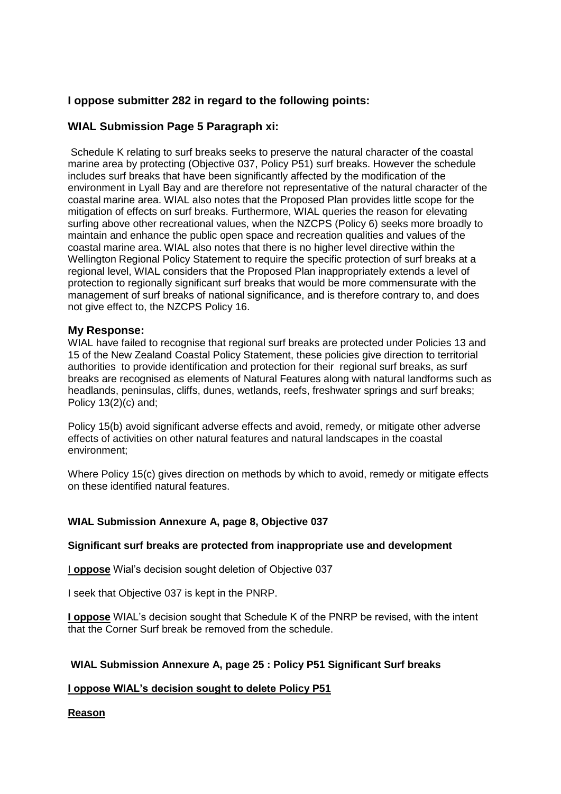# **I oppose submitter 282 in regard to the following points:**

# **WIAL Submission Page 5 Paragraph xi:**

Schedule K relating to surf breaks seeks to preserve the natural character of the coastal marine area by protecting (Objective 037, Policy P51) surf breaks. However the schedule includes surf breaks that have been significantly affected by the modification of the environment in Lyall Bay and are therefore not representative of the natural character of the coastal marine area. WIAL also notes that the Proposed Plan provides little scope for the mitigation of effects on surf breaks. Furthermore, WIAL queries the reason for elevating surfing above other recreational values, when the NZCPS (Policy 6) seeks more broadly to maintain and enhance the public open space and recreation qualities and values of the coastal marine area. WIAL also notes that there is no higher level directive within the Wellington Regional Policy Statement to require the specific protection of surf breaks at a regional level, WIAL considers that the Proposed Plan inappropriately extends a level of protection to regionally significant surf breaks that would be more commensurate with the management of surf breaks of national significance, and is therefore contrary to, and does not give effect to, the NZCPS Policy 16.

#### **My Response:**

WIAL have failed to recognise that regional surf breaks are protected under Policies 13 and 15 of the New Zealand Coastal Policy Statement, these policies give direction to territorial authorities to provide identification and protection for their regional surf breaks, as surf breaks are recognised as elements of Natural Features along with natural landforms such as headlands, peninsulas, cliffs, dunes, wetlands, reefs, freshwater springs and surf breaks; Policy 13(2)(c) and;

Policy 15(b) avoid significant adverse effects and avoid, remedy, or mitigate other adverse effects of activities on other natural features and natural landscapes in the coastal environment;

Where Policy 15(c) gives direction on methods by which to avoid, remedy or mitigate effects on these identified natural features.

#### **WIAL Submission Annexure A, page 8, Objective 037**

#### **Significant surf breaks are protected from inappropriate use and development**

I **oppose** Wial's decision sought deletion of Objective 037

I seek that Objective 037 is kept in the PNRP.

**I oppose** WIAL's decision sought that Schedule K of the PNRP be revised, with the intent that the Corner Surf break be removed from the schedule.

## **WIAL Submission Annexure A, page 25 : Policy P51 Significant Surf breaks**

## **I oppose WIAL's decision sought to delete Policy P51**

## **Reason**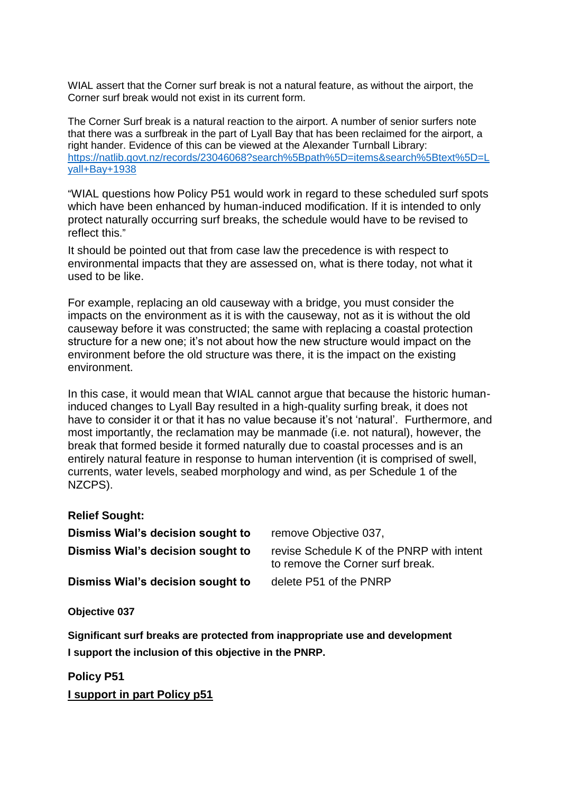WIAL assert that the Corner surf break is not a natural feature, as without the airport, the Corner surf break would not exist in its current form.

The Corner Surf break is a natural reaction to the airport. A number of senior surfers note that there was a surfbreak in the part of Lyall Bay that has been reclaimed for the airport, a right hander. Evidence of this can be viewed at the Alexander Turnball Library: [https://natlib.govt.nz/records/23046068?search%5Bpath%5D=items&search%5Btext%5D=L](https://natlib.govt.nz/records/23046068?search%5Bpath%5D=items&search%5Btext%5D=Lyall+Bay+1938) [yall+Bay+1938](https://natlib.govt.nz/records/23046068?search%5Bpath%5D=items&search%5Btext%5D=Lyall+Bay+1938)

"WIAL questions how Policy P51 would work in regard to these scheduled surf spots which have been enhanced by human-induced modification. If it is intended to only protect naturally occurring surf breaks, the schedule would have to be revised to reflect this."

It should be pointed out that from case law the precedence is with respect to environmental impacts that they are assessed on, what is there today, not what it used to be like.

For example, replacing an old causeway with a bridge, you must consider the impacts on the environment as it is with the causeway, not as it is without the old causeway before it was constructed; the same with replacing a coastal protection structure for a new one; it's not about how the new structure would impact on the environment before the old structure was there, it is the impact on the existing environment.

In this case, it would mean that WIAL cannot argue that because the historic humaninduced changes to Lyall Bay resulted in a high-quality surfing break, it does not have to consider it or that it has no value because it's not 'natural'. Furthermore, and most importantly, the reclamation may be manmade (i.e. not natural), however, the break that formed beside it formed naturally due to coastal processes and is an entirely natural feature in response to human intervention (it is comprised of swell, currents, water levels, seabed morphology and wind, as per Schedule 1 of the NZCPS).

## **Relief Sought:**

| Dismiss Wial's decision sought to | remove Objective 037,                                                         |
|-----------------------------------|-------------------------------------------------------------------------------|
| Dismiss Wial's decision sought to | revise Schedule K of the PNRP with intent<br>to remove the Corner surf break. |
| Dismiss Wial's decision sought to | delete P51 of the PNRP                                                        |

## **Objective 037**

**Significant surf breaks are protected from inappropriate use and development I support the inclusion of this objective in the PNRP.**

**Policy P51 I support in part Policy p51**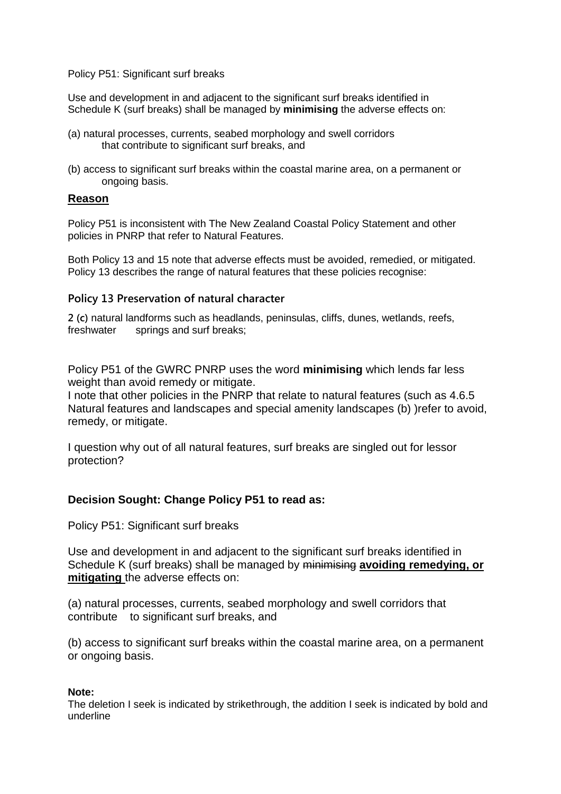Policy P51: Significant surf breaks

Use and development in and adjacent to the significant surf breaks identified in Schedule K (surf breaks) shall be managed by **minimising** the adverse effects on:

- (a) natural processes, currents, seabed morphology and swell corridors that contribute to significant surf breaks, and
- (b) access to significant surf breaks within the coastal marine area, on a permanent or ongoing basis.

## **Reason**

Policy P51 is inconsistent with The New Zealand Coastal Policy Statement and other policies in PNRP that refer to Natural Features.

Both Policy 13 and 15 note that adverse effects must be avoided, remedied, or mitigated. Policy 13 describes the range of natural features that these policies recognise:

## **Policy 13 Preservation of natural character**

**2 (c)** natural landforms such as headlands, peninsulas, cliffs, dunes, wetlands, reefs, freshwater springs and surf breaks;

Policy P51 of the GWRC PNRP uses the word **minimising** which lends far less weight than avoid remedy or mitigate.

I note that other policies in the PNRP that relate to natural features (such as 4.6.5 Natural features and landscapes and special amenity landscapes (b) )refer to avoid, remedy, or mitigate.

I question why out of all natural features, surf breaks are singled out for lessor protection?

# **Decision Sought: Change Policy P51 to read as:**

Policy P51: Significant surf breaks

Use and development in and adjacent to the significant surf breaks identified in Schedule K (surf breaks) shall be managed by minimising **avoiding remedying, or mitigating** the adverse effects on:

(a) natural processes, currents, seabed morphology and swell corridors that contribute to significant surf breaks, and

(b) access to significant surf breaks within the coastal marine area, on a permanent or ongoing basis.

## **Note:**

The deletion I seek is indicated by strikethrough, the addition I seek is indicated by bold and underline